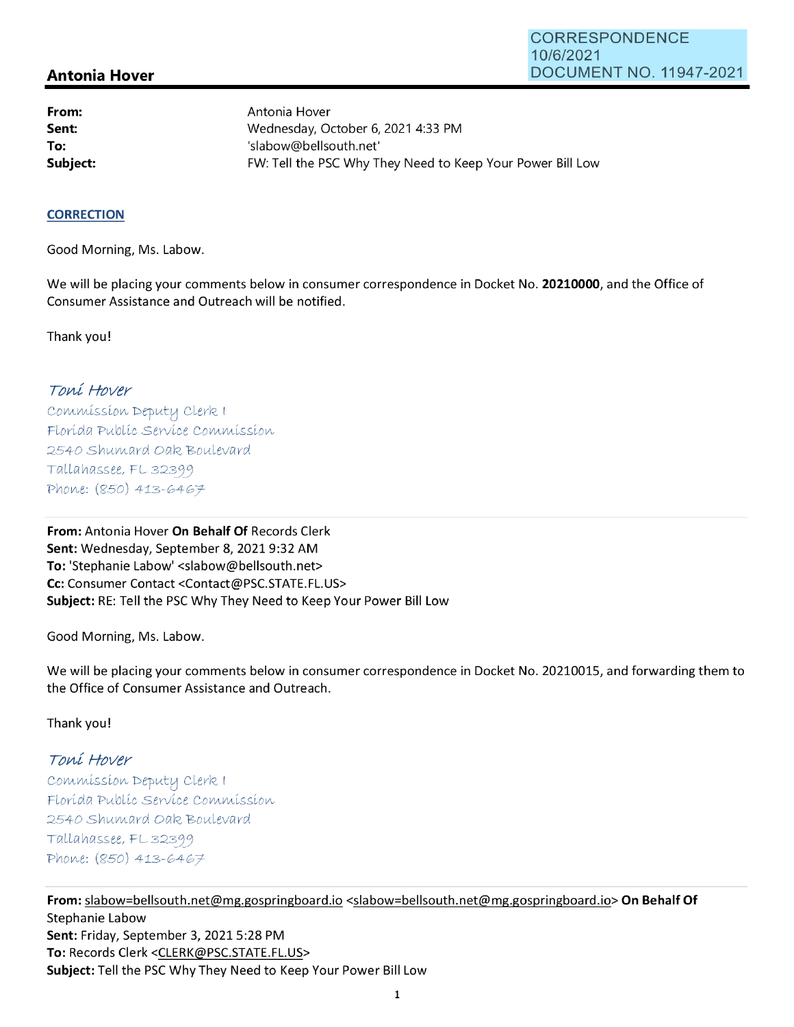# **Antonia Hover**

**From: Sent: To:** 

Antonia Hover Wednesday, October 6, 2021 4:33 PM 'slabow@bellsouth.net' **Subject: FW: Tell the PSC Why They Need to Keep Your Power Bill Low** 

#### **CORRECTION**

Good Morning, Ms. Labow.

We will be placing your comments below in consumer correspondence in Docket No. **20210000,** and the Office of Consumer Assistance and Outreach will be notified.

Thank you!

## Toní Hover

Commission Deputy Clerk 1 Florída Publíc Service Commission 2540 Shumard Oak Boulevard  $Tallahasse, FL 32399$ Phone: (850) 413-6467

**From:** Antonia Hover **On Behalf Of** Records Clerk **Sent:** Wednesday, September 8, 2021 9:32 AM **To:** 'Stephanie Labow' <slabow@bellsouth.net> **Cc:** Consumer Contact <Contact@PSC.STATE.FL.US> **Subject:** RE: Tell the PSC Why They Need to Keep Your Power Bill Low

Good Morning, Ms. Labow.

We will be placing your comments below in consumer correspondence in Docket No. 20210015, and forwarding them to the Office of Consumer Assistance and Outreach.

Thank you!

# Toní Hover

 $Commission$  Deputy Clerk I Florída Publíc Servíce Commission 2540 Shumard Oak Boulevard  $Tallahasse, FL 32399$ Phone: (850) 413-6467

**From:** slabow=bellsouth.net@mg.gospringboard.io <slabow=bellsouth.net@mg.gospringboard.io> **On Behalf Of**  Stephanie Labow **Sent:** Friday, September 3, 2021 5:28 PM **To:** Records Clerk <CLERK@PSC.STATE.FL.US> **Subject:** Tell the PSC Why They Need to Keep Your Power Bill Low